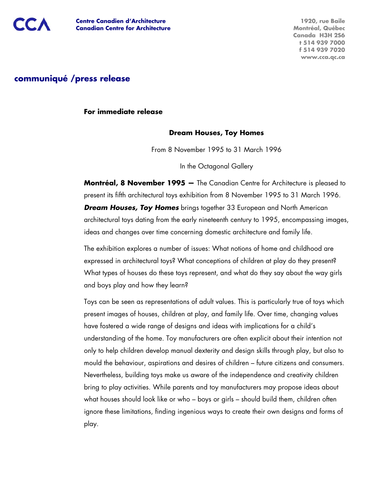

**1920, rue Baile Montréal, Québec Canada H3H 2S6 t 514 939 7000 f 514 939 7020 www.cca.qc.ca**

# **communiqué /press release**

**For immediate release** 

#### **Dream Houses, Toy Homes**

From 8 November 1995 to 31 March 1996

In the Octagonal Gallery

**Montréal, 8 November 1995 —** The Canadian Centre for Architecture is pleased to present its fifth architectural toys exhibition from 8 November 1995 to 31 March 1996. **Dream Houses, Toy Homes** brings together 33 European and North American architectural toys dating from the early nineteenth century to 1995, encompassing images, ideas and changes over time concerning domestic architecture and family life.

The exhibition explores a number of issues: What notions of home and childhood are expressed in architectural toys? What conceptions of children at play do they present? What types of houses do these toys represent, and what do they say about the way girls and boys play and how they learn?

Toys can be seen as representations of adult values. This is particularly true of toys which present images of houses, children at play, and family life. Over time, changing values have fostered a wide range of designs and ideas with implications for a child's understanding of the home. Toy manufacturers are often explicit about their intention not only to help children develop manual dexterity and design skills through play, but also to mould the behaviour, aspirations and desires of children – future citizens and consumers. Nevertheless, building toys make us aware of the independence and creativity children bring to play activities. While parents and toy manufacturers may propose ideas about what houses should look like or who – boys or girls – should build them, children often ignore these limitations, finding ingenious ways to create their own designs and forms of play.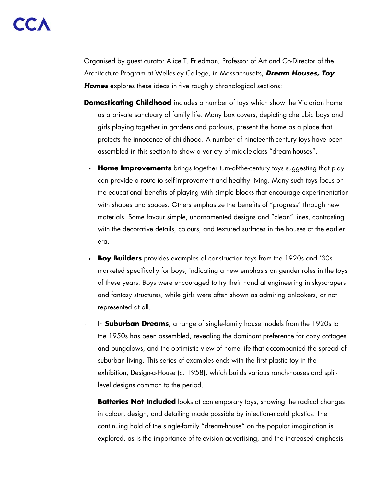Organised by guest curator Alice T. Friedman, Professor of Art and Co-Director of the Architecture Program at Wellesley College, in Massachusetts, *Dream Houses, Toy*  **Homes** explores these ideas in five roughly chronological sections:

- **Domesticating Childhood** includes a number of toys which show the Victorian home as a private sanctuary of family life. Many box covers, depicting cherubic boys and girls playing together in gardens and parlours, present the home as a place that protects the innocence of childhood. A number of nineteenth-century toys have been assembled in this section to show a variety of middle-class "dream-houses".
	- **· Home Improvements** brings together turn-of-the-century toys suggesting that play can provide a route to self-improvement and healthy living. Many such toys focus on the educational benefits of playing with simple blocks that encourage experimentation with shapes and spaces. Others emphasize the benefits of "progress" through new materials. Some favour simple, unornamented designs and "clean" lines, contrasting with the decorative details, colours, and textured surfaces in the houses of the earlier era.
	- **Boy Builders** provides examples of construction toys from the 1920s and '30s marketed specifically for boys, indicating a new emphasis on gender roles in the toys of these years. Boys were encouraged to try their hand at engineering in skyscrapers and fantasy structures, while girls were often shown as admiring onlookers, or not represented at all.
	- · In **Suburban Dreams,** a range of single-family house models from the 1920s to the 1950s has been assembled, revealing the dominant preference for cozy cottages and bungalows, and the optimistic view of home life that accompanied the spread of suburban living. This series of examples ends with the first plastic toy in the exhibition, Design-a-House (c. 1958), which builds various ranch-houses and splitlevel designs common to the period.
	- **Batteries Not Included** looks at contemporary toys, showing the radical changes in colour, design, and detailing made possible by injection-mould plastics. The continuing hold of the single-family "dream-house" on the popular imagination is explored, as is the importance of television advertising, and the increased emphasis